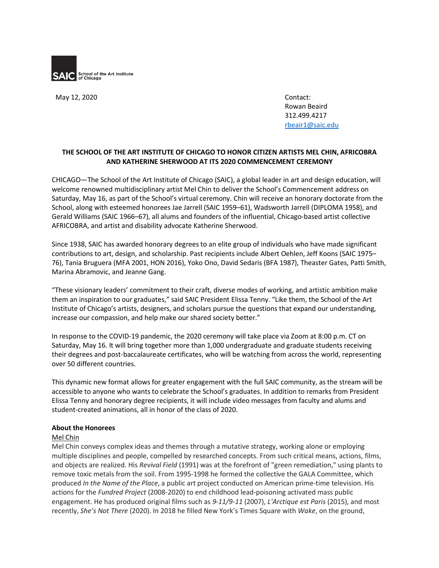

May 12, 2020 Contact:

Rowan Beaird 312.499.4217 rbeair1@saic.edu

# **THE SCHOOL OF THE ART INSTITUTE OF CHICAGO TO HONOR CITIZEN ARTISTS MEL CHIN, AFRICOBRA AND KATHERINE SHERWOOD AT ITS 2020 COMMENCEMENT CEREMONY**

CHICAGO—The School of the Art Institute of Chicago (SAIC), a global leader in art and design education, will welcome renowned multidisciplinary artist Mel Chin to deliver the School's Commencement address on Saturday, May 16, as part of the School's virtual ceremony. Chin will receive an honorary doctorate from the School, along with esteemed honorees Jae Jarrell (SAIC 1959–61), Wadsworth Jarrell (DIPLOMA 1958), and Gerald Williams (SAIC 1966–67), all alums and founders of the influential, Chicago-based artist collective AFRICOBRA, and artist and disability advocate Katherine Sherwood.

Since 1938, SAIC has awarded honorary degrees to an elite group of individuals who have made significant contributions to art, design, and scholarship. Past recipients include Albert Oehlen, Jeff Koons (SAIC 1975– 76), Tania Bruguera (MFA 2001, HON 2016), Yoko Ono, David Sedaris (BFA 1987), Theaster Gates, Patti Smith, Marina Abramovic, and Jeanne Gang.

"These visionary leaders' commitment to their craft, diverse modes of working, and artistic ambition make them an inspiration to our graduates," said SAIC President Elissa Tenny. "Like them, the School of the Art Institute of Chicago's artists, designers, and scholars pursue the questions that expand our understanding, increase our compassion, and help make our shared society better."

In response to the COVID-19 pandemic, the 2020 ceremony will take place via Zoom at 8:00 p.m. CT on Saturday, May 16. It will bring together more than 1,000 undergraduate and graduate students receiving their degrees and post-baccalaureate certificates, who will be watching from across the world, representing over 50 different countries.

This dynamic new format allows for greater engagement with the full SAIC community, as the stream will be accessible to anyone who wants to celebrate the School's graduates. In addition to remarks from President Elissa Tenny and honorary degree recipients, it will include video messages from faculty and alums and student-created animations, all in honor of the class of 2020.

## **About the Honorees**

## Mel Chin

Mel Chin conveys complex ideas and themes through a mutative strategy, working alone or employing multiple disciplines and people, compelled by researched concepts. From such critical means, actions, films, and objects are realized. His *Revival Field* (1991) was at the forefront of "green remediation," using plants to remove toxic metals from the soil. From 1995-1998 he formed the collective the GALA Committee, which produced *In the Name of the Place*, a public art project conducted on American prime-time television. His actions for the *Fundred Project* (2008-2020) to end childhood lead-poisoning activated mass public engagement. He has produced original films such as *9-11/9-11* (2007), *L'Arctique est Paris* (2015), and most recently, *She's Not There* (2020). In 2018 he filled New York's Times Square with *Wake*, on the ground,